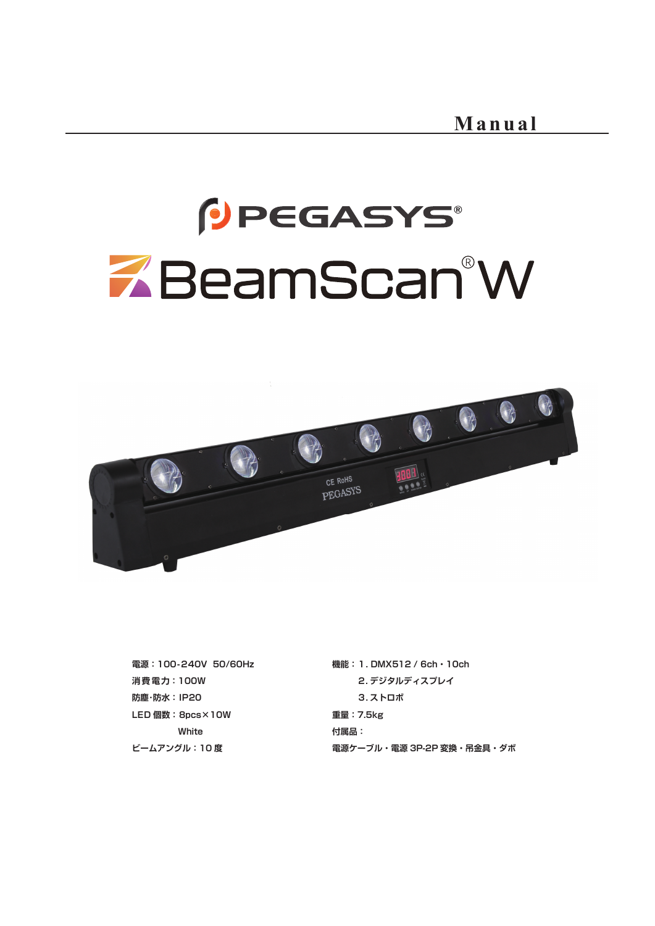# PEGASYS® ZBeamScan®W



**電源:100-240V 50/60Hz 消 費 電 力:100W 防塵・防水:IP20 LED 個数:8pcs×10W White ビームアングル:10 度**

**機能:1. DMX512 / 6ch・10ch 2. デジタルディスプレイ 3. ストロボ 重量:7.5kg 付属品: 電源ケーブル・電源 3P-2P 変換・吊金具・ダボ**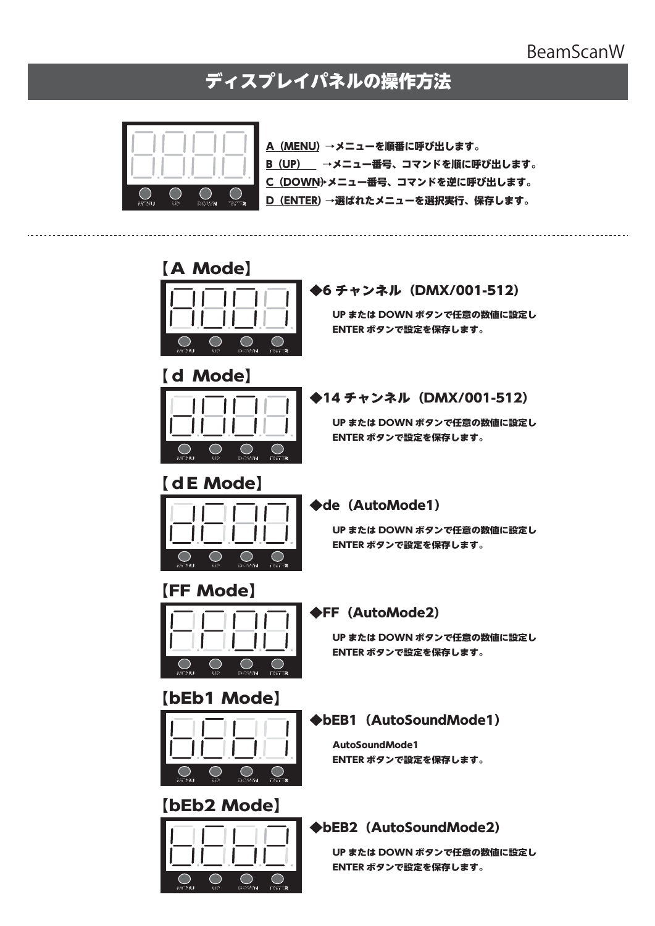#### BeamScanW

## ディスプレイパネルの操作方法



A(MENU)→メニューを順番に呼び出します。 B (UP) →メニュー番号、コマンドを順に呼び出します。 C(DOWN)→メニュー番号、コマンドを逆に呼び出します。 D (ENTER)→選ばれたメニューを選択実行、保存します。

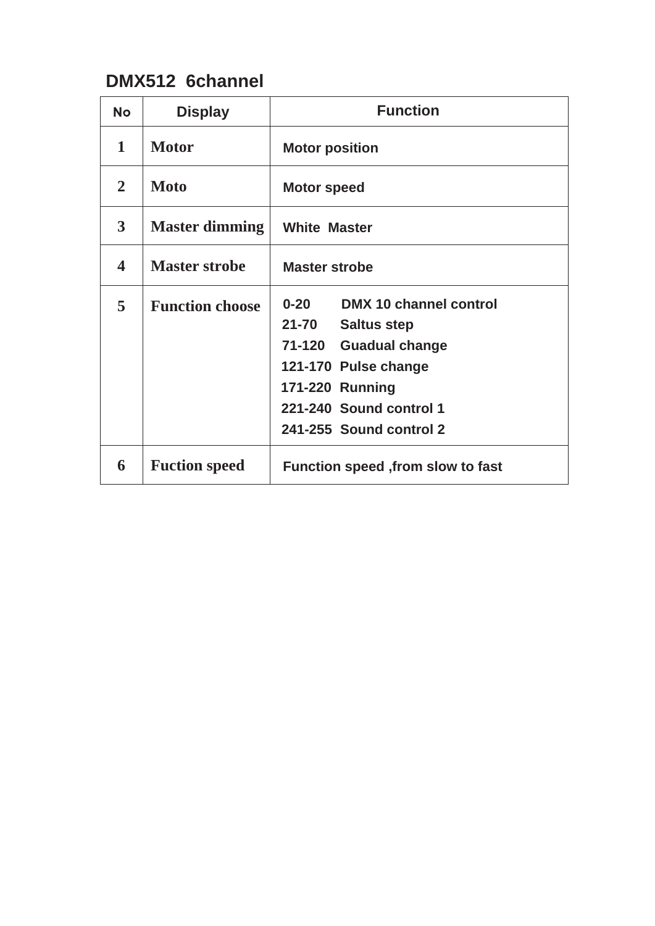## **DMX512 6channel**

| No                      | <b>Display</b>         | <b>Function</b>                                                                                                                                                                                                  |
|-------------------------|------------------------|------------------------------------------------------------------------------------------------------------------------------------------------------------------------------------------------------------------|
| 1                       | <b>Motor</b>           | <b>Motor position</b>                                                                                                                                                                                            |
| $\overline{2}$          | <b>Moto</b>            | <b>Motor speed</b>                                                                                                                                                                                               |
| $\mathbf{3}$            | <b>Master dimming</b>  | <b>White Master</b>                                                                                                                                                                                              |
| $\overline{\mathbf{4}}$ | <b>Master strobe</b>   | <b>Master strobe</b>                                                                                                                                                                                             |
| 5                       | <b>Function choose</b> | $0 - 20$<br>DMX 10 channel control<br>$21 - 70$<br><b>Saltus step</b><br>71-120<br><b>Guadual change</b><br>121-170 Pulse change<br><b>171-220 Running</b><br>221-240 Sound control 1<br>241-255 Sound control 2 |
| 6                       | <b>Fuction speed</b>   | Function speed , from slow to fast                                                                                                                                                                               |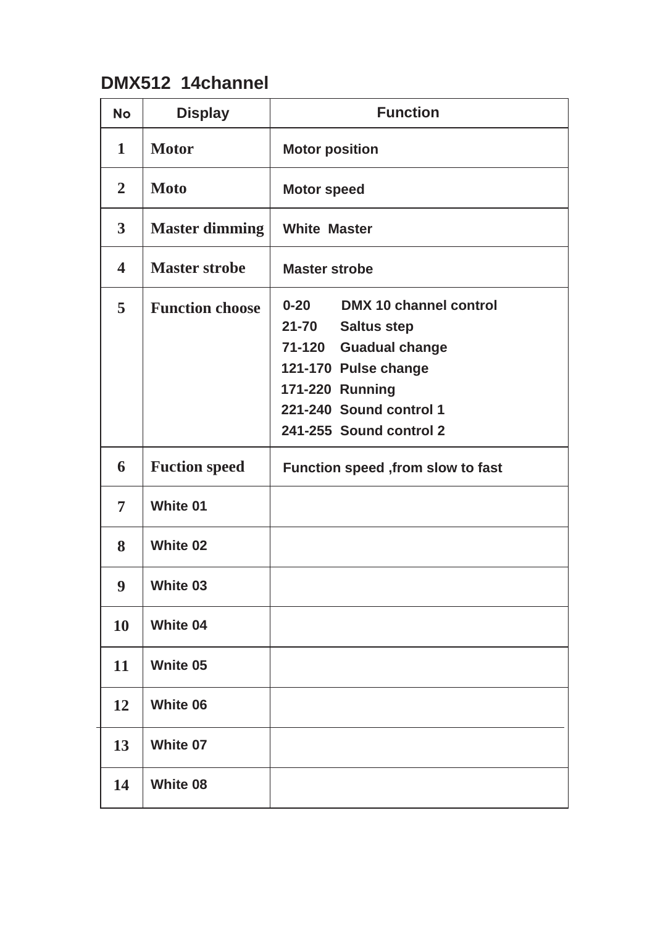## **DMX512 14channel**

| <b>No</b>               | <b>Display</b>         | <b>Function</b>                                                                                                                                                                                 |
|-------------------------|------------------------|-------------------------------------------------------------------------------------------------------------------------------------------------------------------------------------------------|
| $\mathbf 1$             | <b>Motor</b>           | <b>Motor position</b>                                                                                                                                                                           |
| $\overline{2}$          | <b>Moto</b>            | <b>Motor speed</b>                                                                                                                                                                              |
| $\overline{\mathbf{3}}$ | <b>Master dimming</b>  | <b>White Master</b>                                                                                                                                                                             |
| $\overline{\mathbf{4}}$ | <b>Master strobe</b>   | <b>Master strobe</b>                                                                                                                                                                            |
| 5                       | <b>Function choose</b> | $0 - 20$<br><b>DMX 10 channel control</b><br>21-70 Saltus step<br>71-120 Guadual change<br>121-170 Pulse change<br><b>171-220 Running</b><br>221-240 Sound control 1<br>241-255 Sound control 2 |
| 6                       | <b>Fuction speed</b>   | Function speed , from slow to fast                                                                                                                                                              |
| 7                       | <b>White 01</b>        |                                                                                                                                                                                                 |
| 8                       | <b>White 02</b>        |                                                                                                                                                                                                 |
| 9                       | <b>White 03</b>        |                                                                                                                                                                                                 |
| 10                      | <b>White 04</b>        |                                                                                                                                                                                                 |
| 11                      | <b>Wnite 05</b>        |                                                                                                                                                                                                 |
| 12                      | <b>White 06</b>        |                                                                                                                                                                                                 |
| 13                      | <b>White 07</b>        |                                                                                                                                                                                                 |
| 14                      | <b>White 08</b>        |                                                                                                                                                                                                 |